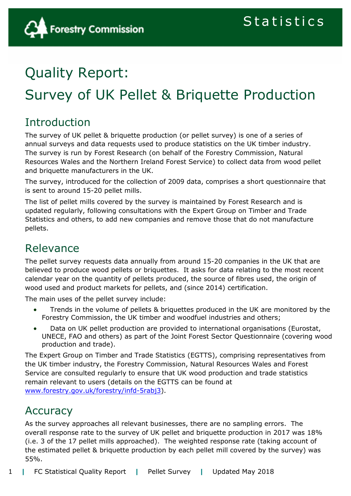

## Quality Report:

# Survey of UK Pellet & Briquette Production

## Introduction

The survey of UK pellet & briquette production (or pellet survey) is one of a series of annual surveys and data requests used to produce statistics on the UK timber industry. The survey is run by Forest Research (on behalf of the Forestry Commission, Natural Resources Wales and the Northern Ireland Forest Service) to collect data from wood pellet and briquette manufacturers in the UK.

The survey, introduced for the collection of 2009 data, comprises a short questionnaire that is sent to around 15-20 pellet mills.

The list of pellet mills covered by the survey is maintained by Forest Research and is updated regularly, following consultations with the Expert Group on Timber and Trade Statistics and others, to add new companies and remove those that do not manufacture pellets.

## Relevance

The pellet survey requests data annually from around 15-20 companies in the UK that are believed to produce wood pellets or briquettes. It asks for data relating to the most recent calendar year on the quantity of pellets produced, the source of fibres used, the origin of wood used and product markets for pellets, and (since 2014) certification.

The main uses of the pellet survey include:

- Trends in the volume of pellets & briquettes produced in the UK are monitored by the Forestry Commission, the UK timber and woodfuel industries and others;
- Data on UK pellet production are provided to international organisations (Eurostat, UNECE, FAO and others) as part of the Joint Forest Sector Questionnaire (covering wood production and trade).

The Expert Group on Timber and Trade Statistics (EGTTS), comprising representatives from the UK timber industry, the Forestry Commission, Natural Resources Wales and Forest Service are consulted regularly to ensure that UK wood production and trade statistics remain relevant to users (details on the EGTTS can be found at [www.forestry.gov.uk/forestry/infd-5rabj3\)](http://www.forestry.gov.uk/forestry/infd-5rabj3).

## Accuracy

As the survey approaches all relevant businesses, there are no sampling errors. The overall response rate to the survey of UK pellet and briquette production in 2017 was 18% (i.e. 3 of the 17 pellet mills approached). The weighted response rate (taking account of the estimated pellet & briquette production by each pellet mill covered by the survey) was 55%.